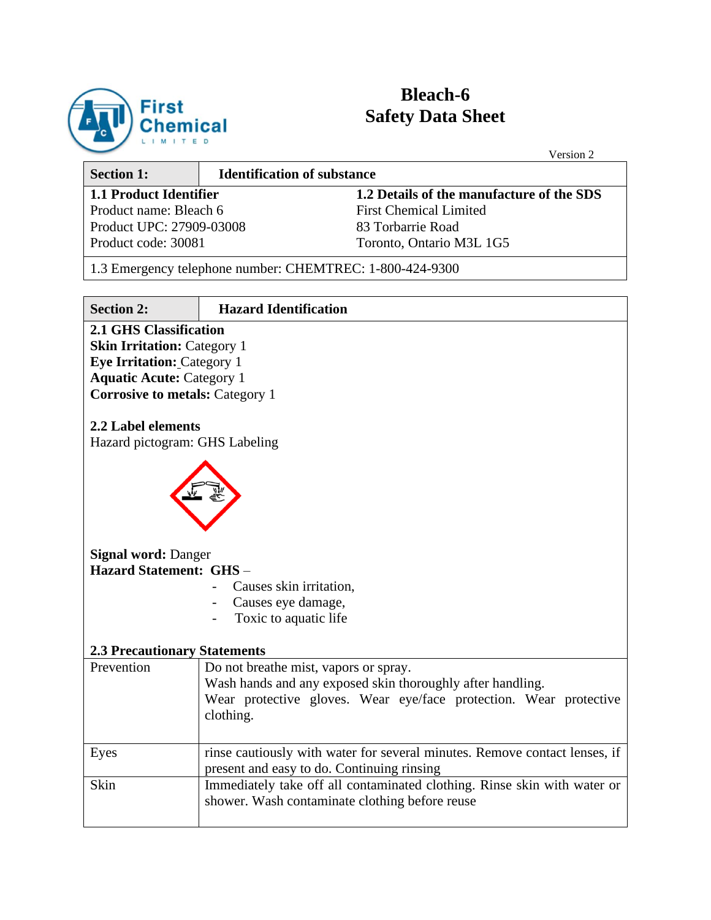

# **Bleach-6 Safety Data Sheet**

|                                                                                                                                                                         |                                                          | Version 2                                                                  |  |  |  |  |
|-------------------------------------------------------------------------------------------------------------------------------------------------------------------------|----------------------------------------------------------|----------------------------------------------------------------------------|--|--|--|--|
| <b>Section 1:</b>                                                                                                                                                       | <b>Identification of substance</b>                       |                                                                            |  |  |  |  |
| <b>1.1 Product Identifier</b>                                                                                                                                           |                                                          | 1.2 Details of the manufacture of the SDS                                  |  |  |  |  |
| Product name: Bleach 6                                                                                                                                                  |                                                          | <b>First Chemical Limited</b>                                              |  |  |  |  |
| Product UPC: 27909-03008                                                                                                                                                |                                                          | 83 Torbarrie Road                                                          |  |  |  |  |
| Product code: 30081                                                                                                                                                     |                                                          | Toronto, Ontario M3L 1G5                                                   |  |  |  |  |
|                                                                                                                                                                         | 1.3 Emergency telephone number: CHEMTREC: 1-800-424-9300 |                                                                            |  |  |  |  |
| <b>Section 2:</b>                                                                                                                                                       | <b>Hazard Identification</b>                             |                                                                            |  |  |  |  |
| <b>Eye Irritation: Category 1</b><br><b>Aquatic Acute: Category 1</b><br><b>Corrosive to metals: Category 1</b><br>2.2 Label elements<br>Hazard pictogram: GHS Labeling |                                                          |                                                                            |  |  |  |  |
| <b>Signal word: Danger</b>                                                                                                                                              |                                                          |                                                                            |  |  |  |  |
| <b>Hazard Statement: GHS -</b>                                                                                                                                          |                                                          |                                                                            |  |  |  |  |
|                                                                                                                                                                         | Causes skin irritation,                                  |                                                                            |  |  |  |  |
|                                                                                                                                                                         | Causes eye damage,                                       |                                                                            |  |  |  |  |
|                                                                                                                                                                         | Toxic to aquatic life                                    |                                                                            |  |  |  |  |
| <b>2.3 Precautionary Statements</b>                                                                                                                                     |                                                          |                                                                            |  |  |  |  |
| Prevention                                                                                                                                                              | Do not breathe mist, vapors or spray.                    |                                                                            |  |  |  |  |
|                                                                                                                                                                         |                                                          | Wash hands and any exposed skin thoroughly after handling.                 |  |  |  |  |
|                                                                                                                                                                         | clothing.                                                | Wear protective gloves. Wear eye/face protection. Wear protective          |  |  |  |  |
|                                                                                                                                                                         |                                                          |                                                                            |  |  |  |  |
| Eyes                                                                                                                                                                    |                                                          | rinse cautiously with water for several minutes. Remove contact lenses, if |  |  |  |  |
| Skin                                                                                                                                                                    | present and easy to do. Continuing rinsing               |                                                                            |  |  |  |  |
| Immediately take off all contaminated clothing. Rinse skin with water or<br>shower. Wash contaminate clothing before reuse                                              |                                                          |                                                                            |  |  |  |  |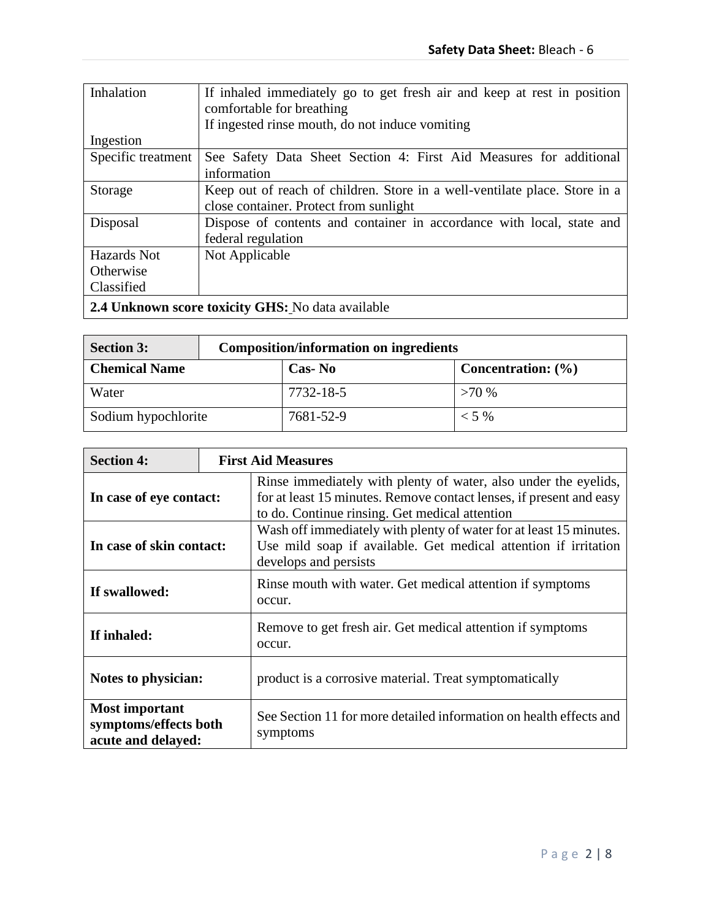| Inhalation                                        | If inhaled immediately go to get fresh air and keep at rest in position<br>comfortable for breathing<br>If ingested rinse mouth, do not induce vomiting |  |  |  |
|---------------------------------------------------|---------------------------------------------------------------------------------------------------------------------------------------------------------|--|--|--|
| Ingestion                                         |                                                                                                                                                         |  |  |  |
| Specific treatment                                | See Safety Data Sheet Section 4: First Aid Measures for additional<br>information                                                                       |  |  |  |
| Storage                                           | Keep out of reach of children. Store in a well-ventilate place. Store in a<br>close container. Protect from sunlight                                    |  |  |  |
| Disposal                                          | Dispose of contents and container in accordance with local, state and<br>federal regulation                                                             |  |  |  |
| Hazards Not                                       | Not Applicable                                                                                                                                          |  |  |  |
| Otherwise                                         |                                                                                                                                                         |  |  |  |
| Classified                                        |                                                                                                                                                         |  |  |  |
| 2.4 Unknown score toxicity GHS: No data available |                                                                                                                                                         |  |  |  |

| <b>Section 3:</b>    | <b>Composition/information on ingredients</b> |                        |  |  |  |  |  |
|----------------------|-----------------------------------------------|------------------------|--|--|--|--|--|
| <b>Chemical Name</b> | Cas-No                                        | Concentration: $(\% )$ |  |  |  |  |  |
| Water                | 7732-18-5                                     | >70%                   |  |  |  |  |  |
| Sodium hypochlorite  | 7681-52-9                                     | $< 5\%$                |  |  |  |  |  |

| <b>Section 4:</b>                                                    |  | <b>First Aid Measures</b>                                                                                                                                                                |  |  |  |  |
|----------------------------------------------------------------------|--|------------------------------------------------------------------------------------------------------------------------------------------------------------------------------------------|--|--|--|--|
| In case of eye contact:                                              |  | Rinse immediately with plenty of water, also under the eyelids,<br>for at least 15 minutes. Remove contact lenses, if present and easy<br>to do. Continue rinsing. Get medical attention |  |  |  |  |
| In case of skin contact:                                             |  | Wash off immediately with plenty of water for at least 15 minutes.<br>Use mild soap if available. Get medical attention if irritation<br>develops and persists                           |  |  |  |  |
| If swallowed:                                                        |  | Rinse mouth with water. Get medical attention if symptoms<br>occur.                                                                                                                      |  |  |  |  |
| If inhaled:                                                          |  | Remove to get fresh air. Get medical attention if symptoms<br>occur.                                                                                                                     |  |  |  |  |
| Notes to physician:                                                  |  | product is a corrosive material. Treat symptomatically                                                                                                                                   |  |  |  |  |
| <b>Most important</b><br>symptoms/effects both<br>acute and delayed: |  | See Section 11 for more detailed information on health effects and<br>symptoms                                                                                                           |  |  |  |  |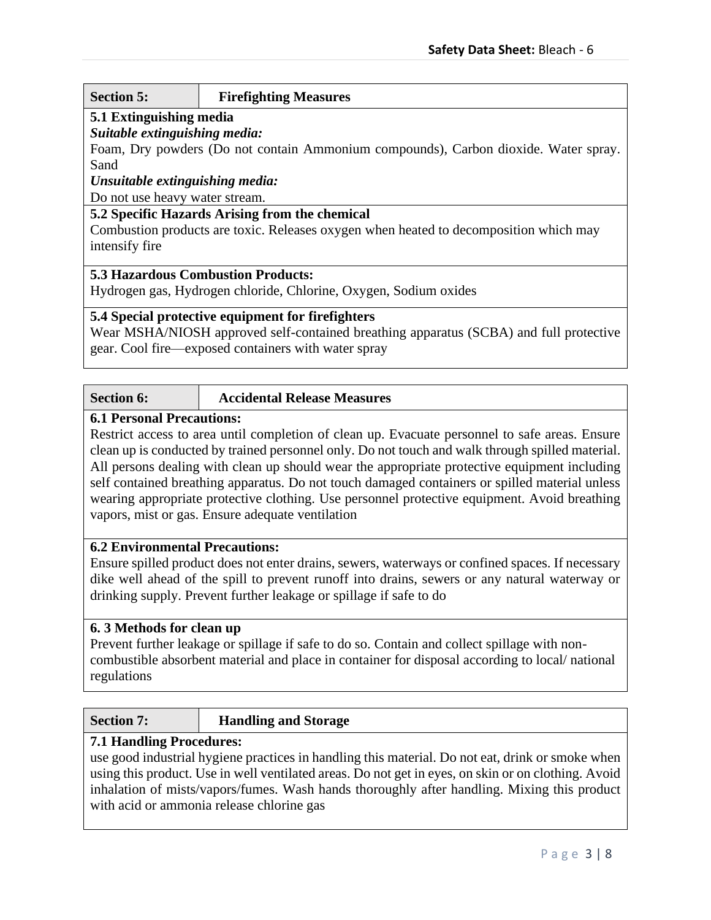## **Section 5: Firefighting Measures**

## **5.1 Extinguishing media**

## *Suitable extinguishing media:*

Foam, Dry powders (Do not contain Ammonium compounds), Carbon dioxide. Water spray. Sand

## *Unsuitable extinguishing media:*

Do not use heavy water stream.

## **5.2 Specific Hazards Arising from the chemical**

Combustion products are toxic. Releases oxygen when heated to decomposition which may intensify fire

## **5.3 Hazardous Combustion Products:**

Hydrogen gas, Hydrogen chloride, Chlorine, Oxygen, Sodium oxides

## **5.4 Special protective equipment for firefighters**

Wear MSHA/NIOSH approved self-contained breathing apparatus (SCBA) and full protective gear. Cool fire—exposed containers with water spray

| <b>Section 6:</b> | <b>Accidental Release Measures</b> |  |
|-------------------|------------------------------------|--|
|                   |                                    |  |

## **6.1 Personal Precautions:**

Restrict access to area until completion of clean up. Evacuate personnel to safe areas. Ensure clean up is conducted by trained personnel only. Do not touch and walk through spilled material. All persons dealing with clean up should wear the appropriate protective equipment including self contained breathing apparatus. Do not touch damaged containers or spilled material unless wearing appropriate protective clothing. Use personnel protective equipment. Avoid breathing vapors, mist or gas. Ensure adequate ventilation

## **6.2 Environmental Precautions:**

Ensure spilled product does not enter drains, sewers, waterways or confined spaces. If necessary dike well ahead of the spill to prevent runoff into drains, sewers or any natural waterway or drinking supply. Prevent further leakage or spillage if safe to do

## **6. 3 Methods for clean up**

Prevent further leakage or spillage if safe to do so. Contain and collect spillage with noncombustible absorbent material and place in container for disposal according to local/ national regulations

#### **Section 7: Handling and Storage**

## **7.1 Handling Procedures:**

use good industrial hygiene practices in handling this material. Do not eat, drink or smoke when using this product. Use in well ventilated areas. Do not get in eyes, on skin or on clothing. Avoid inhalation of mists/vapors/fumes. Wash hands thoroughly after handling. Mixing this product with acid or ammonia release chlorine gas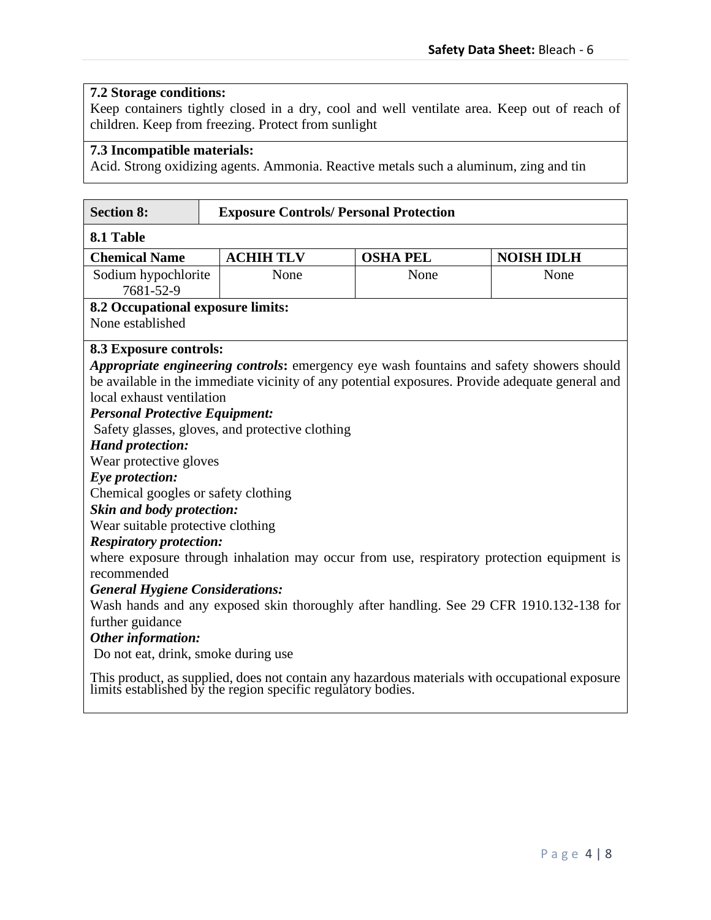## **7.2 Storage conditions:**

Keep containers tightly closed in a dry, cool and well ventilate area. Keep out of reach of children. Keep from freezing. Protect from sunlight

## **7.3 Incompatible materials:**

Acid. Strong oxidizing agents. Ammonia. Reactive metals such a aluminum, zing and tin

| <b>Section 8:</b>                                                   |                                                 | <b>Exposure Controls/ Personal Protection</b> |                                                                                                                                                             |  |  |  |  |
|---------------------------------------------------------------------|-------------------------------------------------|-----------------------------------------------|-------------------------------------------------------------------------------------------------------------------------------------------------------------|--|--|--|--|
| 8.1 Table                                                           |                                                 |                                               |                                                                                                                                                             |  |  |  |  |
| <b>Chemical Name</b>                                                | <b>ACHIH TLV</b>                                | <b>OSHA PEL</b>                               | <b>NOISH IDLH</b>                                                                                                                                           |  |  |  |  |
| Sodium hypochlorite                                                 | None                                            | None                                          | None                                                                                                                                                        |  |  |  |  |
| 7681-52-9                                                           |                                                 |                                               |                                                                                                                                                             |  |  |  |  |
| 8.2 Occupational exposure limits:                                   |                                                 |                                               |                                                                                                                                                             |  |  |  |  |
| None established                                                    |                                                 |                                               |                                                                                                                                                             |  |  |  |  |
| 8.3 Exposure controls:                                              |                                                 |                                               |                                                                                                                                                             |  |  |  |  |
|                                                                     |                                                 |                                               | <i>Appropriate engineering controls:</i> emergency eye wash fountains and safety showers should                                                             |  |  |  |  |
|                                                                     |                                                 |                                               | be available in the immediate vicinity of any potential exposures. Provide adequate general and                                                             |  |  |  |  |
| local exhaust ventilation                                           |                                                 |                                               |                                                                                                                                                             |  |  |  |  |
| <b>Personal Protective Equipment:</b>                               |                                                 |                                               |                                                                                                                                                             |  |  |  |  |
|                                                                     | Safety glasses, gloves, and protective clothing |                                               |                                                                                                                                                             |  |  |  |  |
| <b>Hand protection:</b>                                             |                                                 |                                               |                                                                                                                                                             |  |  |  |  |
| Wear protective gloves                                              |                                                 |                                               |                                                                                                                                                             |  |  |  |  |
| Eye protection:                                                     |                                                 |                                               |                                                                                                                                                             |  |  |  |  |
| Chemical googles or safety clothing                                 |                                                 |                                               |                                                                                                                                                             |  |  |  |  |
| Skin and body protection:                                           |                                                 |                                               |                                                                                                                                                             |  |  |  |  |
| Wear suitable protective clothing<br><b>Respiratory protection:</b> |                                                 |                                               |                                                                                                                                                             |  |  |  |  |
|                                                                     |                                                 |                                               | where exposure through inhalation may occur from use, respiratory protection equipment is                                                                   |  |  |  |  |
| recommended                                                         |                                                 |                                               |                                                                                                                                                             |  |  |  |  |
| <b>General Hygiene Considerations:</b>                              |                                                 |                                               |                                                                                                                                                             |  |  |  |  |
|                                                                     |                                                 |                                               | Wash hands and any exposed skin thoroughly after handling. See 29 CFR 1910.132-138 for                                                                      |  |  |  |  |
| further guidance                                                    |                                                 |                                               |                                                                                                                                                             |  |  |  |  |
| Other information:                                                  |                                                 |                                               |                                                                                                                                                             |  |  |  |  |
| Do not eat, drink, smoke during use                                 |                                                 |                                               |                                                                                                                                                             |  |  |  |  |
|                                                                     |                                                 |                                               | This product, as supplied, does not contain any hazardous materials with occupational exposure limits established by the region specific regulatory bodies. |  |  |  |  |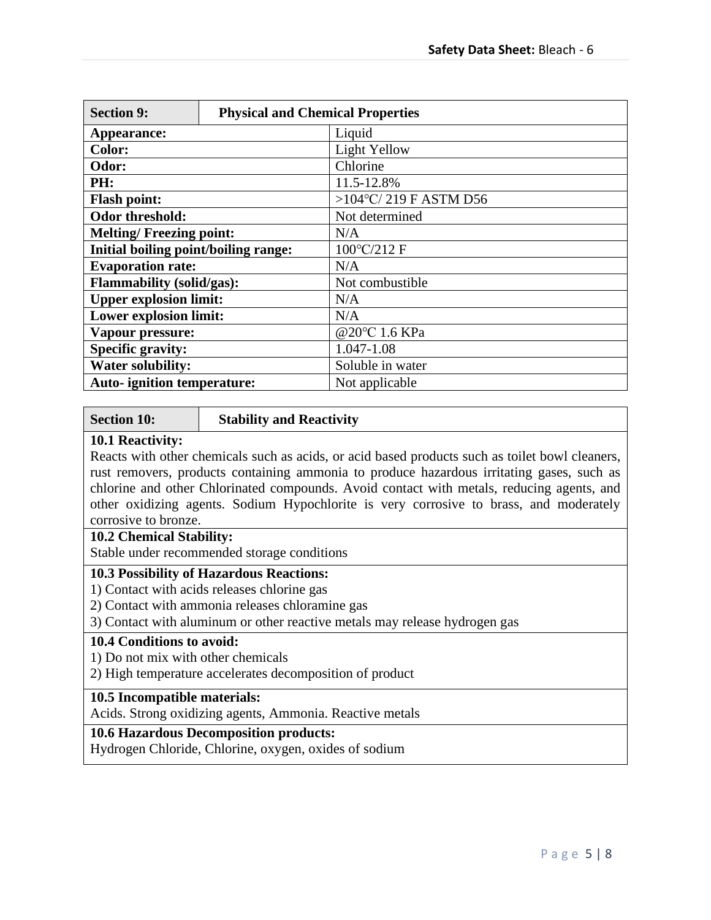| <b>Section 9:</b>                    | <b>Physical and Chemical Properties</b> |                       |  |  |  |  |  |
|--------------------------------------|-----------------------------------------|-----------------------|--|--|--|--|--|
| Appearance:                          |                                         | Liquid                |  |  |  |  |  |
| <b>Color:</b>                        |                                         | Light Yellow          |  |  |  |  |  |
| Odor:                                |                                         | Chlorine              |  |  |  |  |  |
| PH:                                  |                                         | 11.5-12.8%            |  |  |  |  |  |
| <b>Flash point:</b>                  |                                         | >104°C/219 F ASTM D56 |  |  |  |  |  |
| Odor threshold:                      |                                         | Not determined        |  |  |  |  |  |
| <b>Melting/Freezing point:</b>       |                                         | N/A                   |  |  |  |  |  |
| Initial boiling point/boiling range: |                                         | 100°C/212 F           |  |  |  |  |  |
| <b>Evaporation rate:</b>             |                                         | N/A                   |  |  |  |  |  |
| <b>Flammability (solid/gas):</b>     |                                         | Not combustible       |  |  |  |  |  |
| <b>Upper explosion limit:</b>        |                                         | N/A                   |  |  |  |  |  |
| <b>Lower explosion limit:</b>        |                                         | N/A                   |  |  |  |  |  |
| Vapour pressure:                     |                                         | @20°C 1.6 KPa         |  |  |  |  |  |
| <b>Specific gravity:</b>             |                                         | 1.047-1.08            |  |  |  |  |  |
| <b>Water solubility:</b>             |                                         | Soluble in water      |  |  |  |  |  |
| <b>Auto-</b> ignition temperature:   |                                         | Not applicable        |  |  |  |  |  |

### **Section 10: Stability and Reactivity**

### **10.1 Reactivity:**

Reacts with other chemicals such as acids, or acid based products such as toilet bowl cleaners, rust removers, products containing ammonia to produce hazardous irritating gases, such as chlorine and other Chlorinated compounds. Avoid contact with metals, reducing agents, and other oxidizing agents. Sodium Hypochlorite is very corrosive to brass, and moderately corrosive to bronze.

## **10.2 Chemical Stability:**

Stable under recommended storage conditions

## **10.3 Possibility of Hazardous Reactions:**

1) Contact with acids releases chlorine gas

2) Contact with ammonia releases chloramine gas

3) Contact with aluminum or other reactive metals may release hydrogen gas

## **10.4 Conditions to avoid:**

1) Do not mix with other chemicals

2) High temperature accelerates decomposition of product

## **10.5 Incompatible materials:**

Acids. Strong oxidizing agents, Ammonia. Reactive metals

## **10.6 Hazardous Decomposition products:**

Hydrogen Chloride, Chlorine, oxygen, oxides of sodium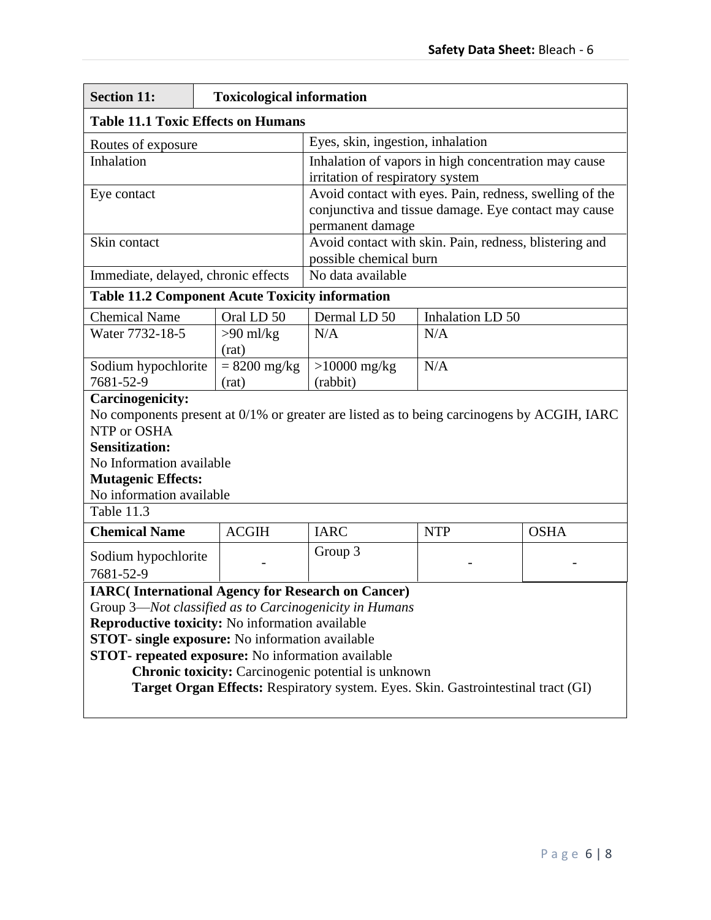| <b>Section 11:</b>                                                                                                                              | <b>Toxicological information</b>          |                                   |                                                         |                                                                                            |  |  |  |
|-------------------------------------------------------------------------------------------------------------------------------------------------|-------------------------------------------|-----------------------------------|---------------------------------------------------------|--------------------------------------------------------------------------------------------|--|--|--|
|                                                                                                                                                 | <b>Table 11.1 Toxic Effects on Humans</b> |                                   |                                                         |                                                                                            |  |  |  |
| Routes of exposure                                                                                                                              |                                           | Eyes, skin, ingestion, inhalation |                                                         |                                                                                            |  |  |  |
| Inhalation                                                                                                                                      |                                           |                                   |                                                         | Inhalation of vapors in high concentration may cause                                       |  |  |  |
|                                                                                                                                                 |                                           | irritation of respiratory system  |                                                         |                                                                                            |  |  |  |
| Eye contact                                                                                                                                     |                                           |                                   | Avoid contact with eyes. Pain, redness, swelling of the |                                                                                            |  |  |  |
|                                                                                                                                                 |                                           |                                   | conjunctiva and tissue damage. Eye contact may cause    |                                                                                            |  |  |  |
| Skin contact                                                                                                                                    |                                           | permanent damage                  |                                                         | Avoid contact with skin. Pain, redness, blistering and                                     |  |  |  |
|                                                                                                                                                 |                                           | possible chemical burn            |                                                         |                                                                                            |  |  |  |
| Immediate, delayed, chronic effects                                                                                                             |                                           | No data available                 |                                                         |                                                                                            |  |  |  |
| <b>Table 11.2 Component Acute Toxicity information</b>                                                                                          |                                           |                                   |                                                         |                                                                                            |  |  |  |
| <b>Chemical Name</b>                                                                                                                            | Oral LD 50                                | Dermal LD 50                      | Inhalation LD 50                                        |                                                                                            |  |  |  |
| Water 7732-18-5                                                                                                                                 | $>90$ ml/kg                               | N/A                               | N/A                                                     |                                                                                            |  |  |  |
|                                                                                                                                                 | (rat)                                     |                                   |                                                         |                                                                                            |  |  |  |
| Sodium hypochlorite                                                                                                                             | $= 8200$ mg/kg                            | $>10000$ mg/kg                    | N/A                                                     |                                                                                            |  |  |  |
| 7681-52-9                                                                                                                                       | (rat)                                     | (rabbit)                          |                                                         |                                                                                            |  |  |  |
| <b>Carcinogenicity:</b>                                                                                                                         |                                           |                                   |                                                         |                                                                                            |  |  |  |
| NTP or OSHA                                                                                                                                     |                                           |                                   |                                                         | No components present at 0/1% or greater are listed as to being carcinogens by ACGIH, IARC |  |  |  |
| <b>Sensitization:</b>                                                                                                                           |                                           |                                   |                                                         |                                                                                            |  |  |  |
| No Information available                                                                                                                        |                                           |                                   |                                                         |                                                                                            |  |  |  |
| <b>Mutagenic Effects:</b>                                                                                                                       |                                           |                                   |                                                         |                                                                                            |  |  |  |
| No information available                                                                                                                        |                                           |                                   |                                                         |                                                                                            |  |  |  |
| Table 11.3                                                                                                                                      |                                           |                                   |                                                         |                                                                                            |  |  |  |
| <b>Chemical Name</b>                                                                                                                            | <b>ACGIH</b>                              | <b>IARC</b>                       | <b>NTP</b>                                              | <b>OSHA</b>                                                                                |  |  |  |
| Sodium hypochlorite                                                                                                                             |                                           | Group 3                           |                                                         |                                                                                            |  |  |  |
| 7681-52-9                                                                                                                                       |                                           |                                   |                                                         |                                                                                            |  |  |  |
| <b>IARC</b> (International Agency for Research on Cancer)                                                                                       |                                           |                                   |                                                         |                                                                                            |  |  |  |
| Group 3-Not classified as to Carcinogenicity in Humans                                                                                          |                                           |                                   |                                                         |                                                                                            |  |  |  |
| Reproductive toxicity: No information available                                                                                                 |                                           |                                   |                                                         |                                                                                            |  |  |  |
| <b>STOT-</b> single exposure: No information available                                                                                          |                                           |                                   |                                                         |                                                                                            |  |  |  |
| <b>STOT-</b> repeated exposure: No information available                                                                                        |                                           |                                   |                                                         |                                                                                            |  |  |  |
| <b>Chronic toxicity:</b> Carcinogenic potential is unknown<br>Target Organ Effects: Respiratory system. Eyes. Skin. Gastrointestinal tract (GI) |                                           |                                   |                                                         |                                                                                            |  |  |  |
|                                                                                                                                                 |                                           |                                   |                                                         |                                                                                            |  |  |  |
|                                                                                                                                                 |                                           |                                   |                                                         |                                                                                            |  |  |  |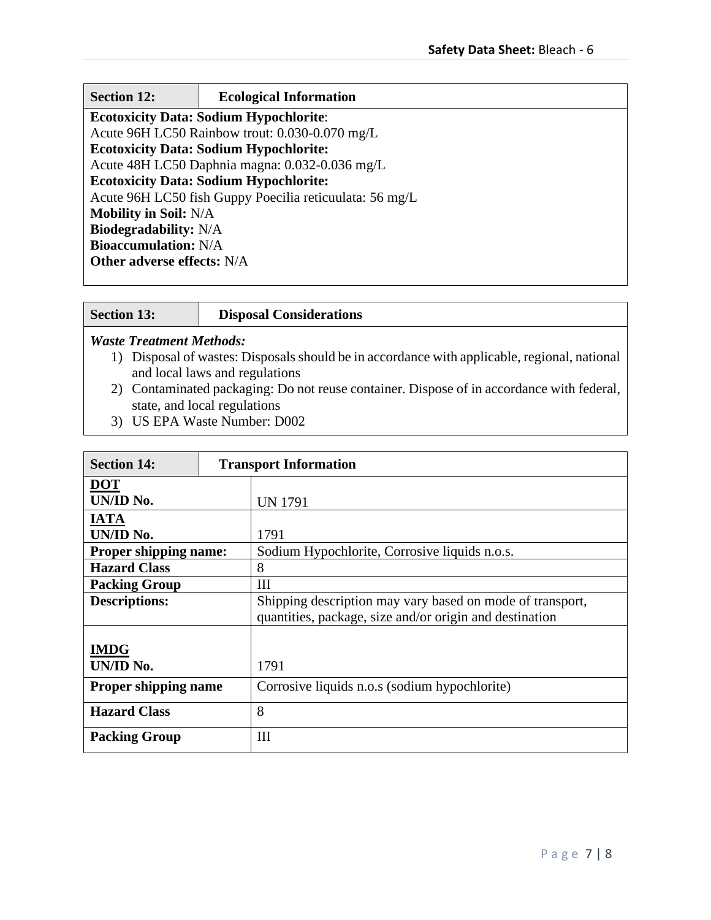| <b>Section 12:</b>                | <b>Ecological Information</b>                           |  |  |  |
|-----------------------------------|---------------------------------------------------------|--|--|--|
|                                   | <b>Ecotoxicity Data: Sodium Hypochlorite:</b>           |  |  |  |
|                                   | Acute 96H LC50 Rainbow trout: 0.030-0.070 mg/L          |  |  |  |
|                                   | <b>Ecotoxicity Data: Sodium Hypochlorite:</b>           |  |  |  |
|                                   | Acute 48H LC50 Daphnia magna: 0.032-0.036 mg/L          |  |  |  |
|                                   | <b>Ecotoxicity Data: Sodium Hypochlorite:</b>           |  |  |  |
|                                   | Acute 96H LC50 fish Guppy Poecilia reticuulata: 56 mg/L |  |  |  |
| <b>Mobility in Soil: N/A</b>      |                                                         |  |  |  |
| <b>Biodegradability:</b> N/A      |                                                         |  |  |  |
| <b>Bioaccumulation:</b> N/A       |                                                         |  |  |  |
| <b>Other adverse effects: N/A</b> |                                                         |  |  |  |
|                                   |                                                         |  |  |  |

## **Section 13: Disposal Considerations**

## *Waste Treatment Methods:*

- 1) Disposal of wastes: Disposals should be in accordance with applicable, regional, national and local laws and regulations
- 2) Contaminated packaging: Do not reuse container. Dispose of in accordance with federal, state, and local regulations
- 3) US EPA Waste Number: D002

| <b>Section 14:</b>           |  | <b>Transport Information</b>                              |  |  |  |  |
|------------------------------|--|-----------------------------------------------------------|--|--|--|--|
| <b>DOT</b>                   |  |                                                           |  |  |  |  |
| UN/ID No.                    |  | <b>UN 1791</b>                                            |  |  |  |  |
| <b>IATA</b>                  |  |                                                           |  |  |  |  |
| UN/ID No.                    |  | 1791                                                      |  |  |  |  |
| <b>Proper shipping name:</b> |  | Sodium Hypochlorite, Corrosive liquids n.o.s.             |  |  |  |  |
| <b>Hazard Class</b>          |  | 8                                                         |  |  |  |  |
| <b>Packing Group</b>         |  | Ш                                                         |  |  |  |  |
| <b>Descriptions:</b>         |  | Shipping description may vary based on mode of transport, |  |  |  |  |
|                              |  | quantities, package, size and/or origin and destination   |  |  |  |  |
|                              |  |                                                           |  |  |  |  |
| <b>IMDG</b>                  |  |                                                           |  |  |  |  |
| UN/ID No.                    |  | 1791                                                      |  |  |  |  |
| <b>Proper shipping name</b>  |  | Corrosive liquids n.o.s (sodium hypochlorite)             |  |  |  |  |
| <b>Hazard Class</b>          |  | 8                                                         |  |  |  |  |
| <b>Packing Group</b>         |  | Ш                                                         |  |  |  |  |